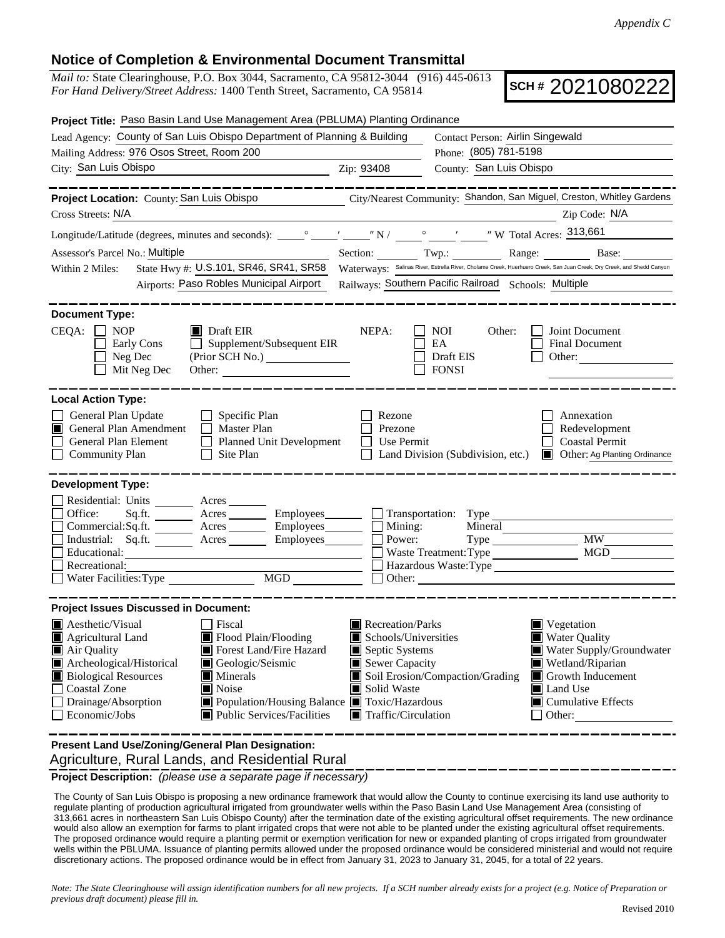## **Notice of Completion & Environmental Document Transmittal**

*Mail to:* State Clearinghouse, P.O. Box 3044, Sacramento, CA 95812-3044 (916) 445-0613 *For Hand Delivery/Street Address:* 1400 Tenth Street, Sacramento, CA 95814

**SCH #** 2021080222

| Project Title: Paso Basin Land Use Management Area (PBLUMA) Planting Ordinance                                                                                                                                                                                                                                                                                                                              |                                                                                                                                                                                                                                                                                                                                                                                          |
|-------------------------------------------------------------------------------------------------------------------------------------------------------------------------------------------------------------------------------------------------------------------------------------------------------------------------------------------------------------------------------------------------------------|------------------------------------------------------------------------------------------------------------------------------------------------------------------------------------------------------------------------------------------------------------------------------------------------------------------------------------------------------------------------------------------|
| Lead Agency: County of San Luis Obispo Department of Planning & Building                                                                                                                                                                                                                                                                                                                                    | Contact Person: Airlin Singewald                                                                                                                                                                                                                                                                                                                                                         |
| Mailing Address: 976 Osos Street, Room 200                                                                                                                                                                                                                                                                                                                                                                  | Phone: (805) 781-5198                                                                                                                                                                                                                                                                                                                                                                    |
| City: San Luis Obispo<br><u> 1989 - Johann Barnett, fransk politiker (</u>                                                                                                                                                                                                                                                                                                                                  | County: San Luis Obispo<br>Zip: 93408                                                                                                                                                                                                                                                                                                                                                    |
| . __ __ __ __ __ __                                                                                                                                                                                                                                                                                                                                                                                         |                                                                                                                                                                                                                                                                                                                                                                                          |
|                                                                                                                                                                                                                                                                                                                                                                                                             | Project Location: County: San Luis Obispo<br>City/Nearest Community: Shandon, San Miguel, Creston, Whitley Gardens                                                                                                                                                                                                                                                                       |
| Cross Streets: N/A                                                                                                                                                                                                                                                                                                                                                                                          | Zip Code: N/A                                                                                                                                                                                                                                                                                                                                                                            |
|                                                                                                                                                                                                                                                                                                                                                                                                             |                                                                                                                                                                                                                                                                                                                                                                                          |
| Assessor's Parcel No.: Multiple                                                                                                                                                                                                                                                                                                                                                                             | Section: Twp.: Range: Base:                                                                                                                                                                                                                                                                                                                                                              |
| State Hwy #: U.S.101, SR46, SR41, SR58<br>Within 2 Miles:                                                                                                                                                                                                                                                                                                                                                   | Waterways: Salinas River, Estrella River, Cholame Creek, Huerhuero Creek, San Juan Creek, Dry Creek, and Shedd Canyon                                                                                                                                                                                                                                                                    |
| Airports: Paso Robles Municipal Airport                                                                                                                                                                                                                                                                                                                                                                     | Railways: Southern Pacific Railroad Schools: Multiple                                                                                                                                                                                                                                                                                                                                    |
|                                                                                                                                                                                                                                                                                                                                                                                                             |                                                                                                                                                                                                                                                                                                                                                                                          |
| <b>Document Type:</b>                                                                                                                                                                                                                                                                                                                                                                                       |                                                                                                                                                                                                                                                                                                                                                                                          |
| $CEQA: \Box NP$<br>$\blacksquare$ Draft EIR<br>$\Box$ Supplement/Subsequent EIR<br>Early Cons<br>Neg Dec<br>Mit Neg Dec<br>Other:                                                                                                                                                                                                                                                                           | NEPA:<br>NOI<br>Other:<br>Joint Document<br>EA<br>Final Document<br>Draft EIS<br>Other:<br><b>FONSI</b>                                                                                                                                                                                                                                                                                  |
| <b>Local Action Type:</b>                                                                                                                                                                                                                                                                                                                                                                                   |                                                                                                                                                                                                                                                                                                                                                                                          |
| General Plan Update<br>Specific Plan<br>General Plan Amendment<br>Master Plan<br>П<br>General Plan Element<br>Planned Unit Development<br><b>Community Plan</b><br>Site Plan                                                                                                                                                                                                                                | Rezone<br>Annexation<br>Redevelopment<br>Prezone<br><b>Coastal Permit</b><br>Use Permit<br>Land Division (Subdivision, etc.)<br>Other: Ag Planting Ordinance                                                                                                                                                                                                                             |
| <b>Development Type:</b>                                                                                                                                                                                                                                                                                                                                                                                    |                                                                                                                                                                                                                                                                                                                                                                                          |
| Residential: Units ________ Acres _______<br>Office:<br>Acres Employees<br>Sq.fit.<br>Commercial:Sq.ft. _________ Acres __________ Employees________<br>Industrial: Sq.ft. _______ Acres _______ Employees_______<br>Educational:<br><u> Andreas Andreas Andreas Andreas Andreas Andreas Andreas Andreas Andreas Andreas Andreas Andreas Andreas Andr</u><br>Recreational:<br>MGD<br>Water Facilities: Type | $\Box$ Transportation: Type<br>Mining:<br>Mineral<br><b>MW</b><br>Power:<br>MGD<br>Waste Treatment: Type<br>Hazardous Waste: Type<br>Other:                                                                                                                                                                                                                                              |
| <b>Project Issues Discussed in Document:</b>                                                                                                                                                                                                                                                                                                                                                                |                                                                                                                                                                                                                                                                                                                                                                                          |
| Aesthetic/Visual<br>Fiscal<br>Flood Plain/Flooding<br>Agricultural Land<br>Air Quality<br>Forest Land/Fire Hazard<br>Archeological/Historical<br>Geologic/Seismic<br><b>Biological Resources</b><br>$\blacksquare$ Minerals<br><b>Coastal Zone</b><br>Noise<br>Drainage/Absorption<br>Public Services/Facilities<br>Economic/Jobs                                                                           | Recreation/Parks<br>Vegetation<br>Schools/Universities<br><b>Water Quality</b><br>Septic Systems<br>Water Supply/Groundwater<br>Sewer Capacity<br>Wetland/Riparian<br>Soil Erosion/Compaction/Grading<br>Growth Inducement<br>Solid Waste<br>Land Use<br>Population/Housing Balance Toxic/Hazardous<br>$\blacksquare$ Cumulative Effects<br>$\blacksquare$ Traffic/Circulation<br>Other: |
| Present Land Use/Zoning/General Plan Designation:                                                                                                                                                                                                                                                                                                                                                           |                                                                                                                                                                                                                                                                                                                                                                                          |

Agriculture, Rural Lands, and Residential Rural

**Project Description:** *(please use a separate page if necessary)*

 The County of San Luis Obispo is proposing a new ordinance framework that would allow the County to continue exercising its land use authority to regulate planting of production agricultural irrigated from groundwater wells within the Paso Basin Land Use Management Area (consisting of 313,661 acres in northeastern San Luis Obispo County) after the termination date of the existing agricultural offset requirements. The new ordinance would also allow an exemption for farms to plant irrigated crops that were not able to be planted under the existing agricultural offset requirements. The proposed ordinance would require a planting permit or exemption verification for new or expanded planting of crops irrigated from groundwater wells within the PBLUMA. Issuance of planting permits allowed under the proposed ordinance would be considered ministerial and would not require discretionary actions. The proposed ordinance would be in effect from January 31, 2023 to January 31, 2045, for a total of 22 years.

*Note: The State Clearinghouse will assign identification numbers for all new projects. If a SCH number already exists for a project (e.g. Notice of Preparation or previous draft document) please fill in.*